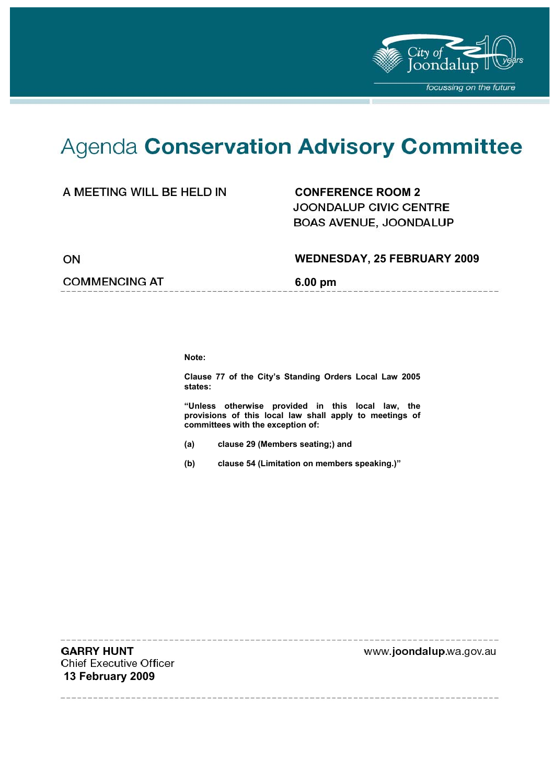

# Agenda Conservation Advisory Committee

#### A MEETING WILL BE HELD IN **CONFERENCE ROOM 2**

**JOONDALUP CIVIC CENTRE** BOAS AVENUE, JOONDALUP

ON

#### **WEDNESDAY, 25 FEBRUARY 2009**

----------------

#### **COMMENCING AT 6.00 pm**

**Note:** 

**Clause 77 of the City's Standing Orders Local Law 2005 states:** 

**"Unless otherwise provided in this local law, the provisions of this local law shall apply to meetings of committees with the exception of:** 

- **(a) clause 29 (Members seating;) and**
- **(b) clause 54 (Limitation on members speaking.)"**

**GARRY HUNT Chief Executive Officer 13 February 2009** 

www.joondalup.wa.gov.au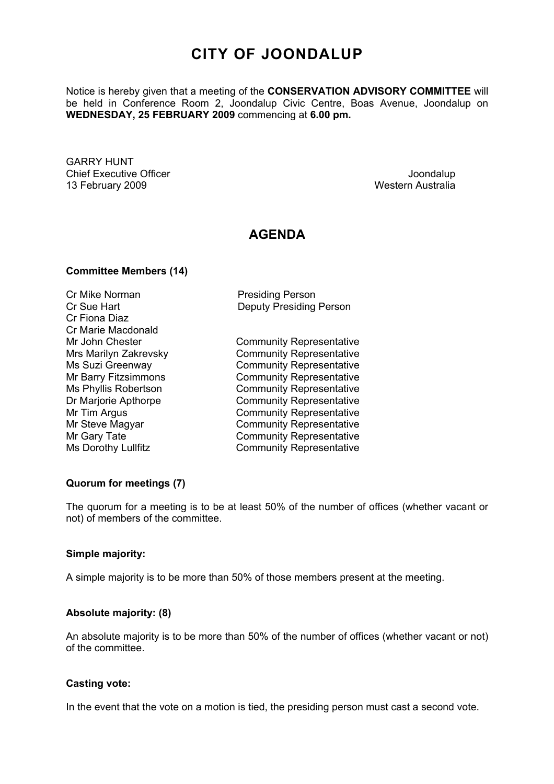### **CITY OF JOONDALUP**

Notice is hereby given that a meeting of the **CONSERVATION ADVISORY COMMITTEE** will be held in Conference Room 2, Joondalup Civic Centre, Boas Avenue, Joondalup on **WEDNESDAY, 25 FEBRUARY 2009** commencing at **6.00 pm.** 

GARRY HUNT **Chief Executive Officer Chief Executive Officer Joseph According to the Chief Executive Officer Joondalup** 13 February 2009 Western Australia

#### **AGENDA**

#### **Committee Members (14)**

Cr Mike Norman **Presiding Person** Cr Fiona Diaz Cr Marie Macdonald

Cr Sue Hart Deputy Presiding Person

Mr John Chester **Community Representative** Mrs Marilyn Zakrevsky Community Representative Ms Suzi Greenway **Community Representative** Mr Barry Fitzsimmons Community Representative Ms Phyllis Robertson Community Representative Dr Marjorie Apthorpe Community Representative Mr Tim Argus **Community Representative** Mr Steve Magyar Community Representative Mr Gary Tate **Community Representative** Ms Dorothy Lullfitz Community Representative

#### **Quorum for meetings (7)**

The quorum for a meeting is to be at least 50% of the number of offices (whether vacant or not) of members of the committee.

#### **Simple majority:**

A simple majority is to be more than 50% of those members present at the meeting.

#### **Absolute majority: (8)**

An absolute majority is to be more than 50% of the number of offices (whether vacant or not) of the committee.

#### **Casting vote:**

In the event that the vote on a motion is tied, the presiding person must cast a second vote.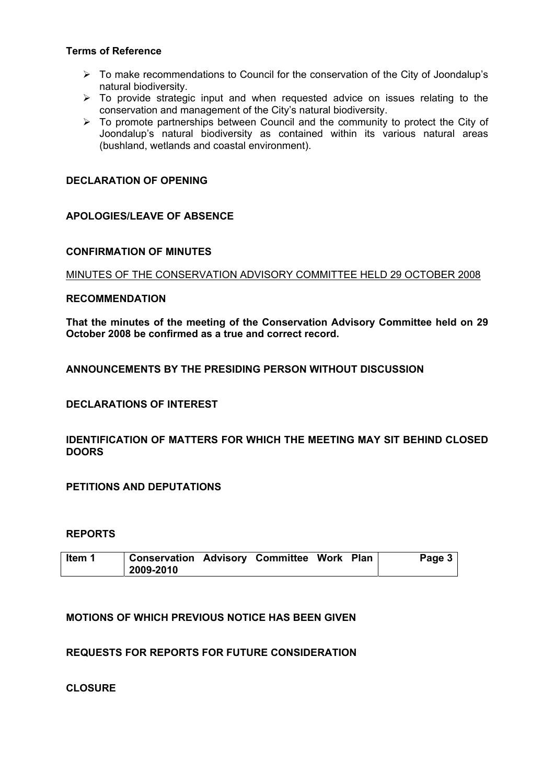#### **Terms of Reference**

- $\triangleright$  To make recommendations to Council for the conservation of the City of Joondalup's natural biodiversity.
- $\triangleright$  To provide strategic input and when requested advice on issues relating to the conservation and management of the City's natural biodiversity.
- $\triangleright$  To promote partnerships between Council and the community to protect the City of Joondalup's natural biodiversity as contained within its various natural areas (bushland, wetlands and coastal environment).

#### **DECLARATION OF OPENING**

#### **APOLOGIES/LEAVE OF ABSENCE**

#### **CONFIRMATION OF MINUTES**

MINUTES OF THE CONSERVATION ADVISORY COMMITTEE HELD 29 OCTOBER 2008

#### **RECOMMENDATION**

**That the minutes of the meeting of the Conservation Advisory Committee held on 29 October 2008 be confirmed as a true and correct record.** 

**ANNOUNCEMENTS BY THE PRESIDING PERSON WITHOUT DISCUSSION** 

**DECLARATIONS OF INTEREST** 

**IDENTIFICATION OF MATTERS FOR WHICH THE MEETING MAY SIT BEHIND CLOSED DOORS** 

**PETITIONS AND DEPUTATIONS** 

#### **REPORTS**

| Item 1 | Conservation Advisory Committee Work Plan |  |  | Page 3 |
|--------|-------------------------------------------|--|--|--------|
|        | 2009-2010                                 |  |  |        |

#### **MOTIONS OF WHICH PREVIOUS NOTICE HAS BEEN GIVEN**

**REQUESTS FOR REPORTS FOR FUTURE CONSIDERATION** 

**CLOSURE**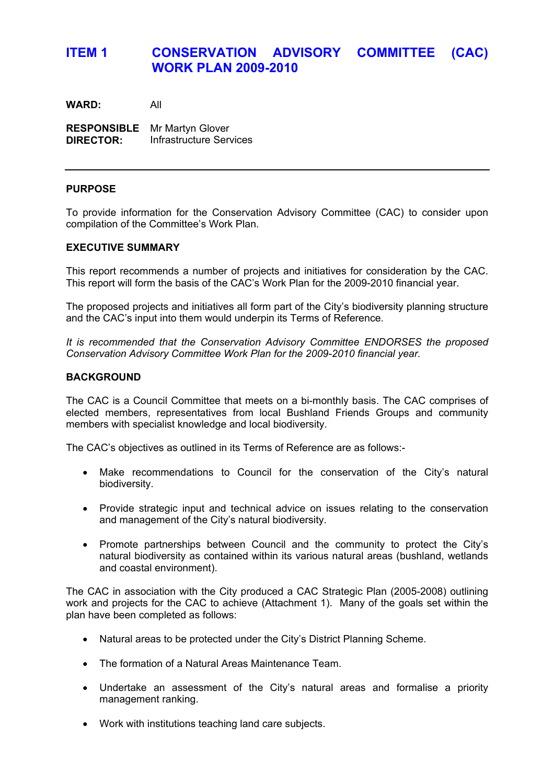### **ITEM 1 CONSERVATION ADVISORY COMMITTEE (CAC) WORK PLAN 2009-2010**

**WARD:** All

**RESPONSIBLE** Mr Martyn Glover **DIRECTOR:** Infrastructure Services

#### **PURPOSE**

To provide information for the Conservation Advisory Committee (CAC) to consider upon compilation of the Committee's Work Plan.

#### **EXECUTIVE SUMMARY**

This report recommends a number of projects and initiatives for consideration by the CAC. This report will form the basis of the CAC's Work Plan for the 2009-2010 financial year.

The proposed projects and initiatives all form part of the City's biodiversity planning structure and the CAC's input into them would underpin its Terms of Reference.

*It is recommended that the Conservation Advisory Committee ENDORSES the proposed Conservation Advisory Committee Work Plan for the 2009-2010 financial year.* 

#### **BACKGROUND**

The CAC is a Council Committee that meets on a bi-monthly basis. The CAC comprises of elected members, representatives from local Bushland Friends Groups and community members with specialist knowledge and local biodiversity.

The CAC's objectives as outlined in its Terms of Reference are as follows:-

- Make recommendations to Council for the conservation of the City's natural biodiversity.
- Provide strategic input and technical advice on issues relating to the conservation and management of the City's natural biodiversity.
- Promote partnerships between Council and the community to protect the City's natural biodiversity as contained within its various natural areas (bushland, wetlands and coastal environment).

The CAC in association with the City produced a CAC Strategic Plan (2005-2008) outlining work and projects for the CAC to achieve (Attachment 1). Many of the goals set within the plan have been completed as follows:

- Natural areas to be protected under the City's District Planning Scheme.
- The formation of a Natural Areas Maintenance Team.
- Undertake an assessment of the City's natural areas and formalise a priority management ranking.
- Work with institutions teaching land care subjects.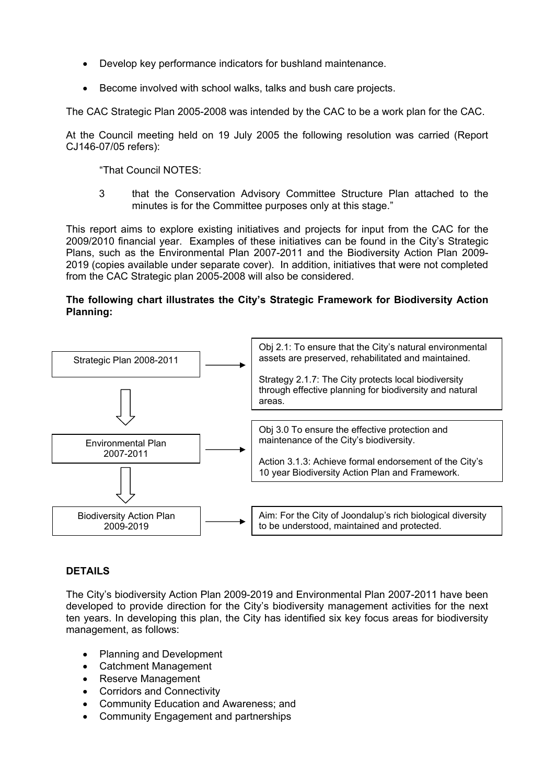- Develop key performance indicators for bushland maintenance.
- Become involved with school walks, talks and bush care projects.

The CAC Strategic Plan 2005-2008 was intended by the CAC to be a work plan for the CAC.

At the Council meeting held on 19 July 2005 the following resolution was carried (Report CJ146-07/05 refers):

"That Council NOTES:

3 that the Conservation Advisory Committee Structure Plan attached to the minutes is for the Committee purposes only at this stage."

This report aims to explore existing initiatives and projects for input from the CAC for the 2009/2010 financial year. Examples of these initiatives can be found in the City's Strategic Plans, such as the Environmental Plan 2007-2011 and the Biodiversity Action Plan 2009- 2019 (copies available under separate cover). In addition, initiatives that were not completed from the CAC Strategic plan 2005-2008 will also be considered.

#### **The following chart illustrates the City's Strategic Framework for Biodiversity Action Planning:**



#### **DETAILS**

The City's biodiversity Action Plan 2009-2019 and Environmental Plan 2007-2011 have been developed to provide direction for the City's biodiversity management activities for the next ten years. In developing this plan, the City has identified six key focus areas for biodiversity management, as follows:

- Planning and Development
- Catchment Management
- Reserve Management
- Corridors and Connectivity
- Community Education and Awareness; and
- Community Engagement and partnerships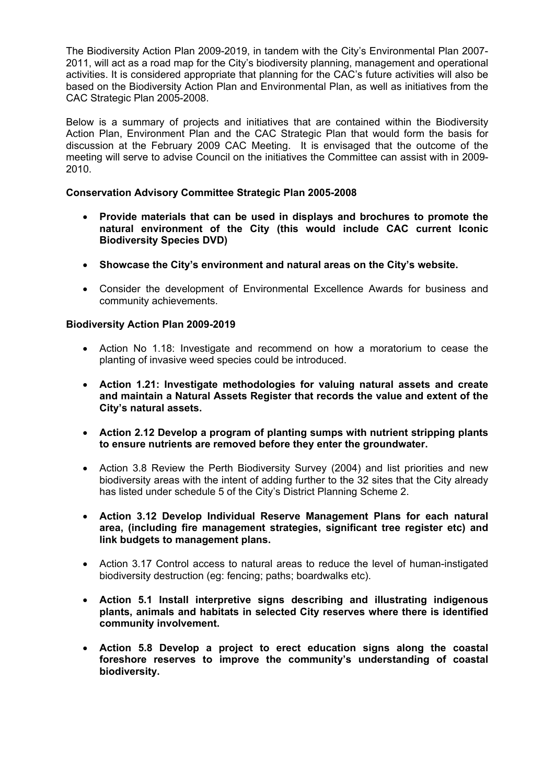The Biodiversity Action Plan 2009-2019, in tandem with the City's Environmental Plan 2007- 2011, will act as a road map for the City's biodiversity planning, management and operational activities. It is considered appropriate that planning for the CAC's future activities will also be based on the Biodiversity Action Plan and Environmental Plan, as well as initiatives from the CAC Strategic Plan 2005-2008.

Below is a summary of projects and initiatives that are contained within the Biodiversity Action Plan, Environment Plan and the CAC Strategic Plan that would form the basis for discussion at the February 2009 CAC Meeting. It is envisaged that the outcome of the meeting will serve to advise Council on the initiatives the Committee can assist with in 2009- 2010.

#### **Conservation Advisory Committee Strategic Plan 2005-2008**

- **Provide materials that can be used in displays and brochures to promote the natural environment of the City (this would include CAC current Iconic Biodiversity Species DVD)**
- **Showcase the City's environment and natural areas on the City's website.**
- Consider the development of Environmental Excellence Awards for business and community achievements.

#### **Biodiversity Action Plan 2009-2019**

- Action No 1.18: Investigate and recommend on how a moratorium to cease the planting of invasive weed species could be introduced.
- **Action 1.21: Investigate methodologies for valuing natural assets and create and maintain a Natural Assets Register that records the value and extent of the City's natural assets.**
- **Action 2.12 Develop a program of planting sumps with nutrient stripping plants to ensure nutrients are removed before they enter the groundwater.**
- Action 3.8 Review the Perth Biodiversity Survey (2004) and list priorities and new biodiversity areas with the intent of adding further to the 32 sites that the City already has listed under schedule 5 of the City's District Planning Scheme 2.
- **Action 3.12 Develop Individual Reserve Management Plans for each natural area, (including fire management strategies, significant tree register etc) and link budgets to management plans.**
- Action 3.17 Control access to natural areas to reduce the level of human-instigated biodiversity destruction (eg: fencing; paths; boardwalks etc).
- **Action 5.1 Install interpretive signs describing and illustrating indigenous plants, animals and habitats in selected City reserves where there is identified community involvement.**
- **Action 5.8 Develop a project to erect education signs along the coastal foreshore reserves to improve the community's understanding of coastal biodiversity.**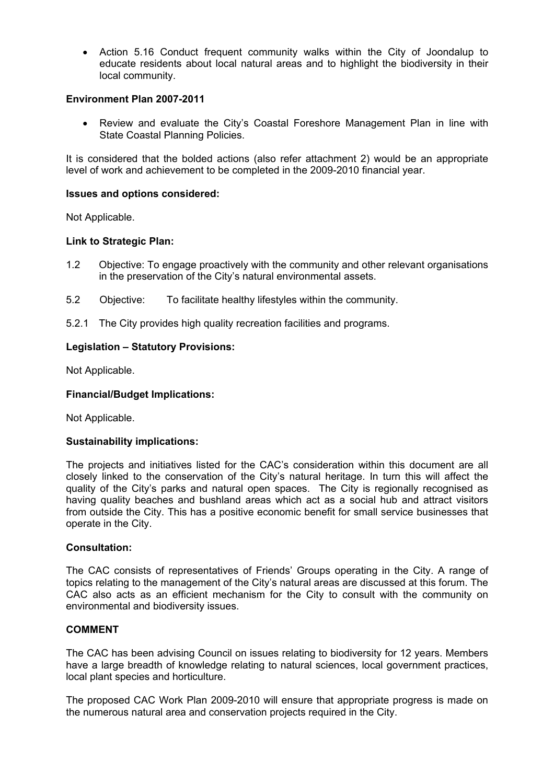• Action 5.16 Conduct frequent community walks within the City of Joondalup to educate residents about local natural areas and to highlight the biodiversity in their local community.

#### **Environment Plan 2007-2011**

• Review and evaluate the City's Coastal Foreshore Management Plan in line with State Coastal Planning Policies.

It is considered that the bolded actions (also refer attachment 2) would be an appropriate level of work and achievement to be completed in the 2009-2010 financial year.

#### **Issues and options considered:**

Not Applicable.

#### **Link to Strategic Plan:**

- 1.2 Objective: To engage proactively with the community and other relevant organisations in the preservation of the City's natural environmental assets.
- 5.2 Objective: To facilitate healthy lifestyles within the community.
- 5.2.1 The City provides high quality recreation facilities and programs.

#### **Legislation – Statutory Provisions:**

Not Applicable.

#### **Financial/Budget Implications:**

Not Applicable.

#### **Sustainability implications:**

The projects and initiatives listed for the CAC's consideration within this document are all closely linked to the conservation of the City's natural heritage. In turn this will affect the quality of the City's parks and natural open spaces. The City is regionally recognised as having quality beaches and bushland areas which act as a social hub and attract visitors from outside the City. This has a positive economic benefit for small service businesses that operate in the City.

#### **Consultation:**

The CAC consists of representatives of Friends' Groups operating in the City. A range of topics relating to the management of the City's natural areas are discussed at this forum. The CAC also acts as an efficient mechanism for the City to consult with the community on environmental and biodiversity issues.

#### **COMMENT**

The CAC has been advising Council on issues relating to biodiversity for 12 years. Members have a large breadth of knowledge relating to natural sciences, local government practices, local plant species and horticulture.

The proposed CAC Work Plan 2009-2010 will ensure that appropriate progress is made on the numerous natural area and conservation projects required in the City.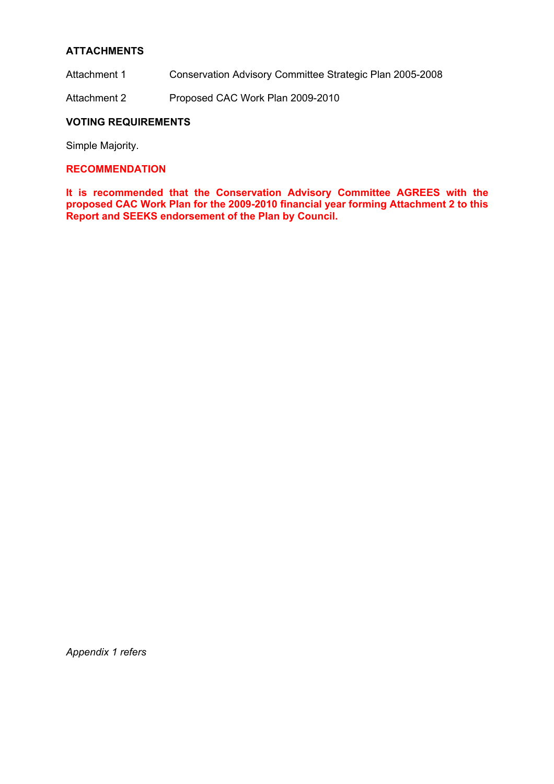#### **ATTACHMENTS**

- Attachment 1 Conservation Advisory Committee Strategic Plan 2005-2008
- Attachment 2 Proposed CAC Work Plan 2009-2010

#### **VOTING REQUIREMENTS**

Simple Majority.

#### **RECOMMENDATION**

**It is recommended that the Conservation Advisory Committee AGREES with the proposed CAC Work Plan for the 2009-2010 financial year forming Attachment 2 to this Report and SEEKS endorsement of the Plan by Council.** 

*Appendix 1 refers*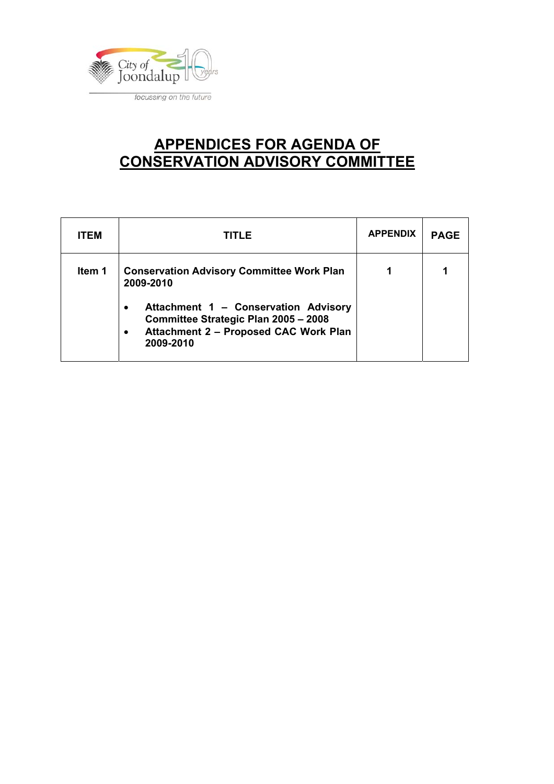

### **APPENDICES FOR AGENDA OF CONSERVATION ADVISORY COMMITTEE**

| <b>ITEM</b> | TITLE                                                                                                                                                                                                                         | <b>APPENDIX</b> | <b>PAGE</b> |
|-------------|-------------------------------------------------------------------------------------------------------------------------------------------------------------------------------------------------------------------------------|-----------------|-------------|
| Item 1      | <b>Conservation Advisory Committee Work Plan</b><br>2009-2010<br>Attachment 1 - Conservation Advisory<br>$\bullet$<br>Committee Strategic Plan 2005 - 2008<br>Attachment 2 - Proposed CAC Work Plan<br>$\bullet$<br>2009-2010 |                 |             |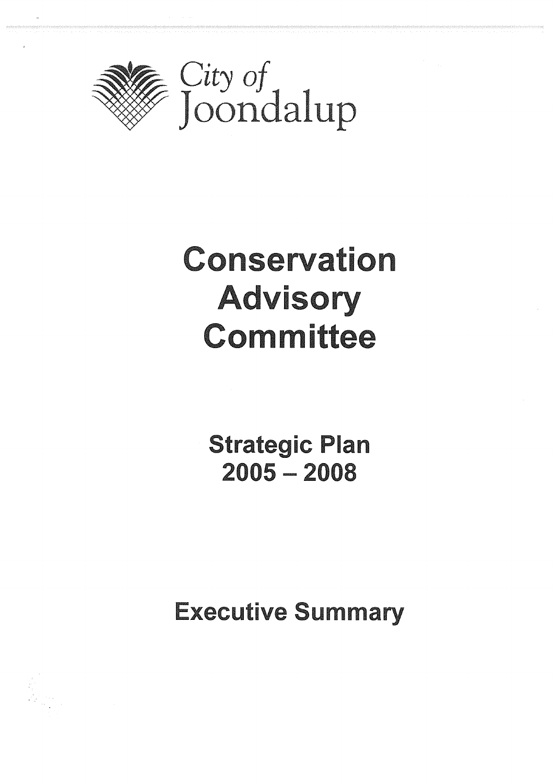

# Conservation **Advisory** Committee

**Strategic Plan**  $2005 - 2008$ 

**Executive Summary**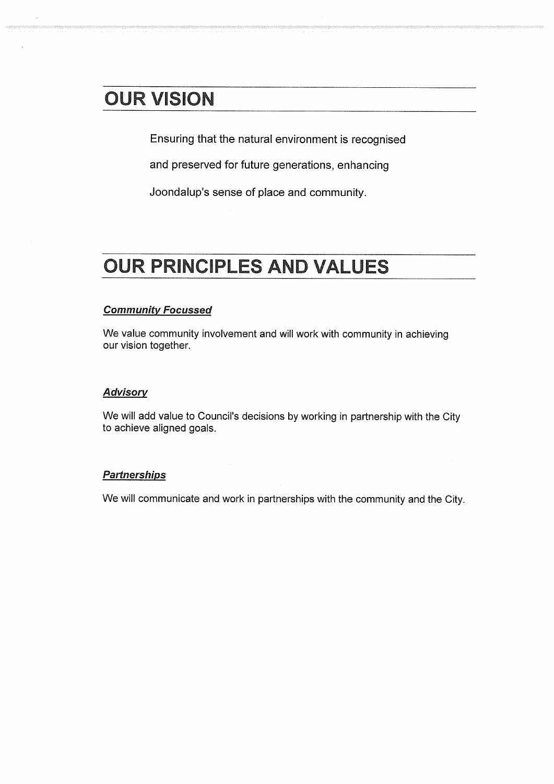### **OUR VISION**

Ensuring that the natural environment is recognised

and preserved for future generations, enhancing

Joondalup's sense of place and community.

## **OUR PRINCIPLES AND VALUES**

#### **Community Focussed**

We value community involvement and will work with community in achieving our vision together.

#### **Advisory**

We will add value to Council's decisions by working in partnership with the City to achieve aligned goals.

#### **Partnerships**

We will communicate and work in partnerships with the community and the City.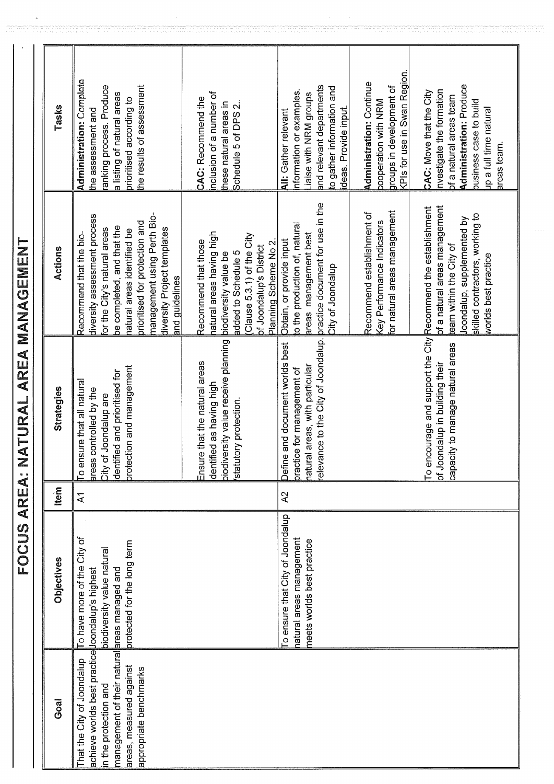| Goal                                                                                                                                                                                                        | <b>Objectives</b>                                                                           | tem            | Strategies                                                                                                                                                             | Actions                                                                                                                                                                                                                                                               | Tasks                                                                                                                                                                                                                                                                                                           |
|-------------------------------------------------------------------------------------------------------------------------------------------------------------------------------------------------------------|---------------------------------------------------------------------------------------------|----------------|------------------------------------------------------------------------------------------------------------------------------------------------------------------------|-----------------------------------------------------------------------------------------------------------------------------------------------------------------------------------------------------------------------------------------------------------------------|-----------------------------------------------------------------------------------------------------------------------------------------------------------------------------------------------------------------------------------------------------------------------------------------------------------------|
| nanagement of their natural areas managed and<br>achieve worlds best practice loondalup's highest<br>hat the City of Joondalup<br>areas, measured against<br>appropriate benchmarks<br>n the protection and | City of<br>protected for the long term<br>biodiversity value natural<br>To have more of the | $\overline{A}$ | protection and management<br>dentified and prioritised for<br>o ensure that all natural<br>areas controlled by the<br>City of Joondalup are                            | management using Perth Bio-<br>diversity assessment process<br>prioritised for protection and<br>be completed, and that the<br>or the City's natural areas<br>diversity Project templates<br>natural areas identified be<br>Recommend that the bio-<br>and guidelines | <b>Administration: Complete</b><br>the results of assessment<br>anking process. Produce<br>a listing of natural areas<br>prioritised according to<br>the assessment and                                                                                                                                         |
|                                                                                                                                                                                                             |                                                                                             |                | piodiversity value receive planning<br>Ensure that the natural areas<br>dentified as having high<br>statutory protection.                                              | natural areas having high<br>Clause 5.3.1) of the City<br>Recommend that those<br>Planning Scheme No 2<br><b>bf Joondalup's District</b><br>added to Schedule 5<br>biodiversity value be                                                                              | nclusion of a number of<br>CAC: Recommend the<br>these natural areas in<br>Schedule 5 of DPS 2.                                                                                                                                                                                                                 |
|                                                                                                                                                                                                             | o ensure that City of Joondalup<br>atural areas management<br>meets worlds best practice    | A2             | elevance to the City of Joondalup. practice document for use in the<br>Define and document worlds best<br>ratural areas, with particular<br>practice for management of | or natural areas management<br>Recommend establishment of<br>Key Performance Indicators<br>the production of, natural<br>areas management best<br>Obtain, or provide input<br>City of Joondalup                                                                       | <pls for="" in="" region.<br="" swan="" use="">Administration: Continue<br/>and relevant departments<br/>groups in development of<br/>to gather information and<br/>nformation or examples.<br/>Liaise with NRM groups<br/>pooperation with NRM<br/>ideas. Provide input.<br/><b>All: Gather relevant</b></pls> |
|                                                                                                                                                                                                             |                                                                                             |                | To encourage and support the City Recommend the establishment<br>capacity to manage natural areas<br>of Joondalup in building their                                    | pf a natural areas management<br>skilled contractors, working to<br>loondalup, supplemented by<br>team within the City of<br>worlds best practice                                                                                                                     | <b>Administration: Produce</b><br>nvestigate the formation<br>CAC: Move that the City<br>of a natural areas team<br>business case to build<br>up a full time natural<br>areas team.                                                                                                                             |

FOCUS AREA: NATURAL AREA MANAGEMENT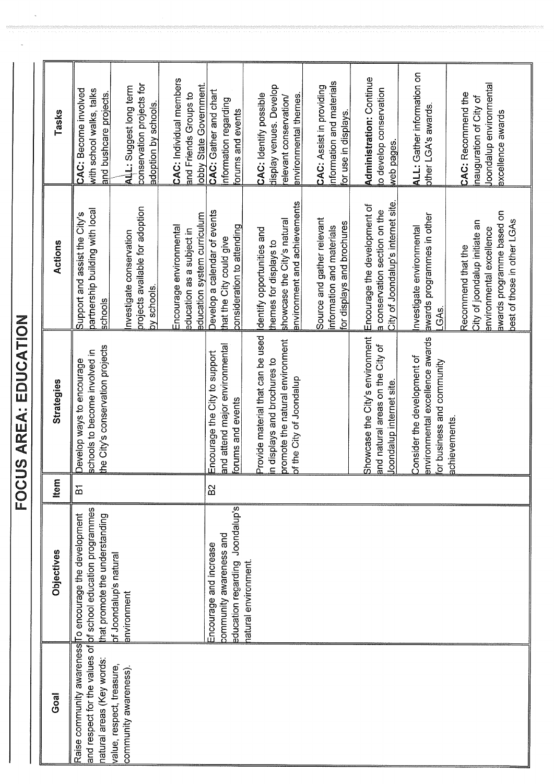**FOCUS AREA: EDUCATION** 

| Tasks             | with school walks, talks<br>CAC: Become involved<br>and bushcare projects.                      | conservation projects for<br>ALL: Suggest long term<br>adoption by schools | <b>CAC: Individual members</b><br>obby State Government.<br>and Friends Groups to   | <b>CAC: Gather and chart</b><br>nformation regarding<br>orums and events                | display venues. Develop<br>CAC: Identify possible<br>environmental themes<br>elevant conservation/                              | nformation and materials<br>CAC: Assist in providing<br>or use in displays.           | Administration: Continue<br>to develop conservation<br>web pages                                    | <b>ALL: Gather information on</b><br>other LGA's awards.                                     | Joondalup environmental<br>CAC: Recommend the<br>nauguration of City of<br>excellence awards                                                |
|-------------------|-------------------------------------------------------------------------------------------------|----------------------------------------------------------------------------|-------------------------------------------------------------------------------------|-----------------------------------------------------------------------------------------|---------------------------------------------------------------------------------------------------------------------------------|---------------------------------------------------------------------------------------|-----------------------------------------------------------------------------------------------------|----------------------------------------------------------------------------------------------|---------------------------------------------------------------------------------------------------------------------------------------------|
| Actions           | partnership building with local<br>Support and assist the City's<br>schools                     | projects available for adoption<br>nvestigate conservation<br>by schools.  | education system curriculum<br>Encourage environmental<br>education as a subject in | Develop a calendar of events<br>consideration to attending<br>that the City could give  | anvironment and achievements<br>showcase the City's natural<br>dentify opportunities and<br>themes for displays to              | Source and gather relevant<br>for displays and brochures<br>information and materials | City of Joondalup's internet site.<br>Encourage the development of<br>a conservation section on the | awards programmes in other<br>nvestigate environmental<br>GA <sub>S</sub>                    | awards programme based on<br>best of those in other LGAs<br>City of joondalup initiate an<br>environmental excellence<br>Recommend that the |
| Strategies        | the City's conservation projects<br>schools to become involved in<br>Develop ways to encourage  |                                                                            |                                                                                     | and attend major environmental<br>Encourage the City to support<br>forums and events    | Provide material that can be used<br>promote the natural environment<br>n displays and brochures to<br>of the City of Joondalup |                                                                                       | Showcase the City's environment<br>and natural areas on the City of<br>Joondalup internet site.     | environmental excellence awards<br>Consider the development of<br>for business and community | achievements                                                                                                                                |
| tem               | $\overline{a}$                                                                                  |                                                                            |                                                                                     | B <sup>2</sup>                                                                          |                                                                                                                                 |                                                                                       |                                                                                                     |                                                                                              |                                                                                                                                             |
| <b>Objectives</b> | of school education programmes<br>To encourage the development<br>hat promote the understanding | of Joondalup's natural<br>anvironment                                      |                                                                                     | Joondalup's<br>community awareness and<br>Encourage and increase<br>education regarding | natural environment.                                                                                                            |                                                                                       |                                                                                                     |                                                                                              |                                                                                                                                             |
| Goal              | Raise community awareness<br>and respect for the values of<br>natural areas (Key words:         | value, respect, treasure,<br>community awareness).                         |                                                                                     |                                                                                         |                                                                                                                                 |                                                                                       |                                                                                                     |                                                                                              |                                                                                                                                             |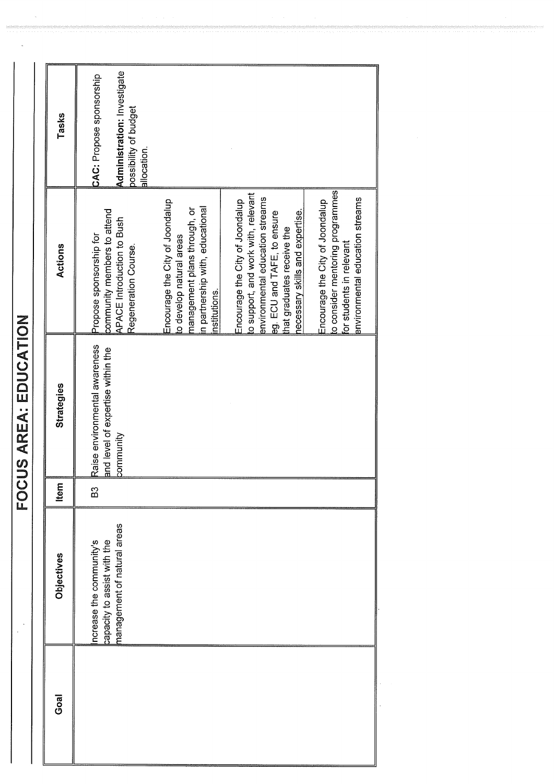| <b>Goal</b> | Objectives                                                                            | <b>Item</b> | Strategies                                                                            | Actions                                                                                                                                                                                                   | Tasks                                                                                                  |
|-------------|---------------------------------------------------------------------------------------|-------------|---------------------------------------------------------------------------------------|-----------------------------------------------------------------------------------------------------------------------------------------------------------------------------------------------------------|--------------------------------------------------------------------------------------------------------|
|             | nanagement of natural areas<br>capacity to assist with the<br>ncrease the community's | B3          | Raise environmental awareness<br>and level of expertise within the<br><b>ommunity</b> | community members to attend<br>APACE Introduction to Bush<br>Propose sponsorship for<br>Regeneration Course.                                                                                              | Administration: Investigate<br><b>CAC: Propose sponsorship</b><br>possibility of budget<br>allocation. |
|             |                                                                                       |             |                                                                                       | Encourage the City of Joondalup<br>n partnership with, educational<br>management plans through, or<br>to develop natural areas<br>nstitutions.                                                            |                                                                                                        |
|             |                                                                                       |             |                                                                                       | to support, and work with, relevant<br>environmental education streams<br>Encourage the City of Joondalup<br>necessary skills and expertise.<br>eg. ECU and TAFE, to ensure<br>that graduates receive the |                                                                                                        |
|             |                                                                                       |             |                                                                                       | to consider mentoring programmes<br>environmental education streams<br>Encourage the City of Joondalup<br>for students in relevant                                                                        |                                                                                                        |

FOCUS AREA: EDUCATION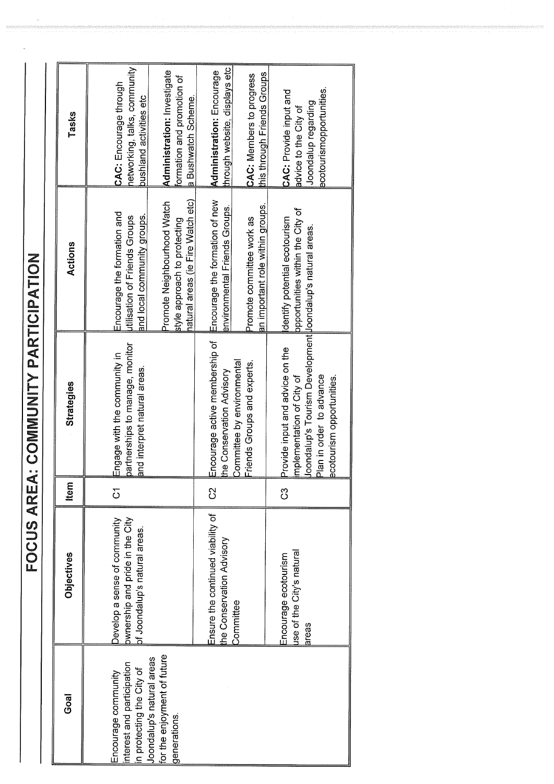FOCUS AREA: COMMUNITY PARTICIPATION

| Goal                                                                                                                                                              | Objectives                                                                                       | <b>Item</b> | Strategies                                                                                                                                                                          | Actions                                                                                                                                                                                                 | Tasks                                                                                                                                                                 |
|-------------------------------------------------------------------------------------------------------------------------------------------------------------------|--------------------------------------------------------------------------------------------------|-------------|-------------------------------------------------------------------------------------------------------------------------------------------------------------------------------------|---------------------------------------------------------------------------------------------------------------------------------------------------------------------------------------------------------|-----------------------------------------------------------------------------------------------------------------------------------------------------------------------|
| for the enjoyment of future<br>Joondalup's natural areas<br>interest and participation<br>n protecting the City of<br>$\equiv$ ncourage community<br>generations. | ownership and pride in the City<br>Jevelop a sense of community<br>of Joondalup's natural areas. | 5           | partnerships to manage, monitor<br>Engage with the community in<br>and interpret natural areas.                                                                                     | hatural areas (ie Fire Watch etc)<br>Promote Neighbourhood Watch<br>Encourage the formation and<br>and local community groups.<br><b>Litilisation of Friends Groups</b><br>style approach to protecting | networking, talks, community<br>Administration: Investigate<br>formation and promotion of<br>CAC: Encourage through<br>bushland activities etc<br>a Bushwatch Scheme. |
|                                                                                                                                                                   | Ensure the continued viability of<br>he Conservation Advisory<br>Committee                       | ပ္ပ         | Encourage active membership of<br>Committee by environmental<br>Friends Groups and experts.<br>the Conservation Advisory                                                            | Encourage the formation of new<br>an important role within groups.<br>environmental Friends Groups.<br>Promote committee work as                                                                        | through website, displays etc<br>Administration: Encourage<br>this through Friends Groups<br><b>CAC: Members to progress</b>                                          |
|                                                                                                                                                                   | use of the City's natural<br>Encourage ecotourism<br>areas                                       | ပိ          | Uoondalup's Tourism Development Uoondalup's natural areas.<br>Provide input and advice on the<br>Plan in order to advance<br>implementation of City of<br>ecotourism opportunities. | ppportunities within the City of<br>dentify potential ecotourism                                                                                                                                        | ecotourismopportunities.<br><b>CAC: Provide input and</b><br>Joondalup regarding<br>advice to the City of                                                             |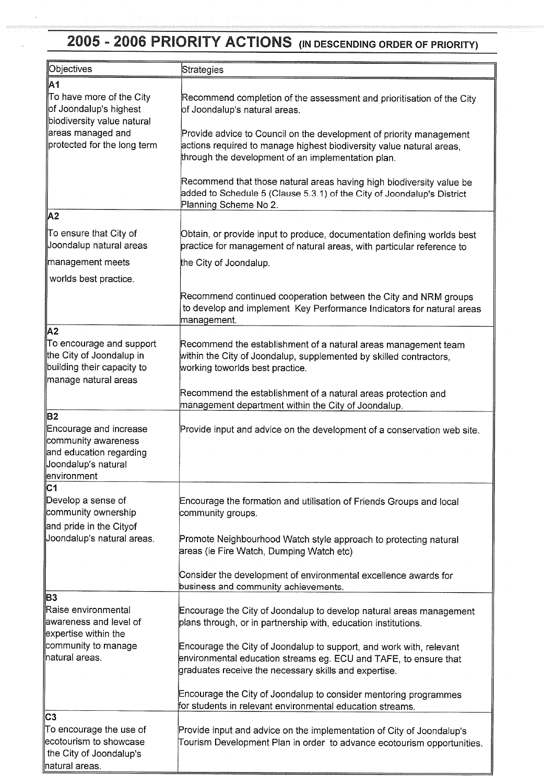# 2005 - 2006 PRIORITY ACTIONS (IN DESCENDING ORDER OF PRIORITY)

| Objectives                                                                                                                  | Strategies                                                                                                                                                                                        |
|-----------------------------------------------------------------------------------------------------------------------------|---------------------------------------------------------------------------------------------------------------------------------------------------------------------------------------------------|
| A1                                                                                                                          |                                                                                                                                                                                                   |
| To have more of the City<br>∥of Joondalup's highest<br>biodiversity value natural                                           | Recommend completion of the assessment and prioritisation of the City<br>of Joondalup's natural areas.                                                                                            |
| areas managed and<br>protected for the long term                                                                            | Provide advice to Council on the development of priority management<br>actions required to manage highest biodiversity value natural areas,<br>through the development of an implementation plan. |
|                                                                                                                             | Recommend that those natural areas having high biodiversity value be<br>added to Schedule 5 (Clause 5.3.1) of the City of Joondalup's District<br>Planning Scheme No 2.                           |
| lA2                                                                                                                         |                                                                                                                                                                                                   |
| To ensure that City of<br>Joondalup natural areas                                                                           | Obtain, or provide input to produce, documentation defining worlds best<br>practice for management of natural areas, with particular reference to                                                 |
| management meets                                                                                                            | the City of Joondalup.                                                                                                                                                                            |
| worlds best practice.                                                                                                       |                                                                                                                                                                                                   |
|                                                                                                                             | Recommend continued cooperation between the City and NRM groups<br>to develop and implement Key Performance Indicators for natural areas<br>management.                                           |
| ∥A2                                                                                                                         |                                                                                                                                                                                                   |
| To encourage and support<br>the City of Joondalup in<br>building their capacity to<br>manage natural areas                  | Recommend the establishment of a natural areas management team<br>within the City of Joondalup, supplemented by skilled contractors,<br>working toworlds best practice.                           |
|                                                                                                                             | Recommend the establishment of a natural areas protection and<br>management department within the City of Joondalup.                                                                              |
| <b>B2</b><br>Encourage and increase<br>community awareness<br>and education regarding<br>Joondalup's natural<br>environment | Provide input and advice on the development of a conservation web site.                                                                                                                           |
| $\overline{c_1}$                                                                                                            |                                                                                                                                                                                                   |
| Develop a sense of<br>community ownership                                                                                   | Encourage the formation and utilisation of Friends Groups and local<br>community groups.                                                                                                          |
| and pride in the Cityof<br>Joondalup's natural areas.                                                                       | Promote Neighbourhood Watch style approach to protecting natural<br>areas (ie Fire Watch, Dumping Watch etc)                                                                                      |
|                                                                                                                             | Consider the development of environmental excellence awards for<br>business and community achievements.                                                                                           |
| ∥B3<br>∥Raise environmental<br>awareness and level of<br>expertise within the                                               | Encourage the City of Joondalup to develop natural areas management<br>plans through, or in partnership with, education institutions.                                                             |
| community to manage<br>natural areas.                                                                                       | Encourage the City of Joondalup to support, and work with, relevant<br>environmental education streams eg. ECU and TAFE, to ensure that<br>graduates receive the necessary skills and expertise.  |
|                                                                                                                             | Encourage the City of Joondalup to consider mentoring programmes<br>for students in relevant environmental education streams.                                                                     |
| C3                                                                                                                          |                                                                                                                                                                                                   |
| To encourage the use of<br>ecotourism to showcase<br>the City of Joondalup's<br>natural areas.                              | Provide input and advice on the implementation of City of Joondalup's<br>Tourism Development Plan in order to advance ecotourism opportunities.                                                   |
|                                                                                                                             |                                                                                                                                                                                                   |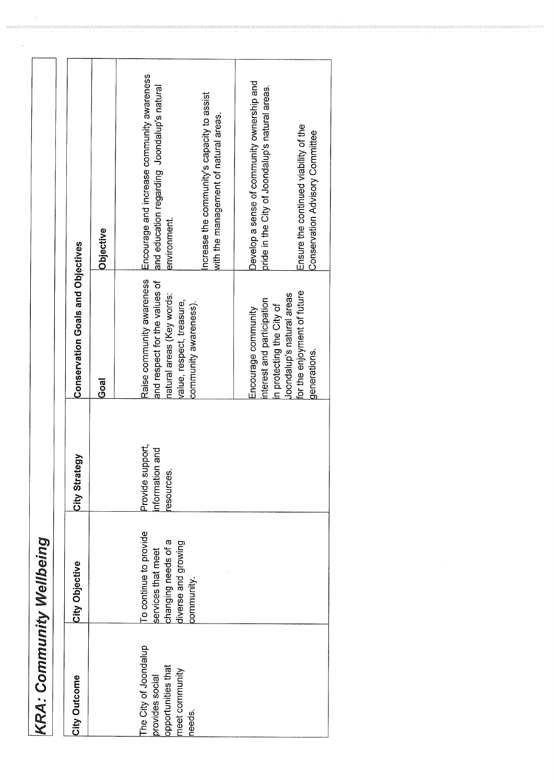| J<br>ų      |  |
|-------------|--|
| ŀ<br>t<br>١ |  |
|             |  |

| City Outcome                                                                     | City Objective                                                                             | City Strategy                                   | <b>Conservation Goals and Objectives</b>                                                                             |                                                                                                           |  |
|----------------------------------------------------------------------------------|--------------------------------------------------------------------------------------------|-------------------------------------------------|----------------------------------------------------------------------------------------------------------------------|-----------------------------------------------------------------------------------------------------------|--|
|                                                                                  |                                                                                            |                                                 | Goal                                                                                                                 | Objective                                                                                                 |  |
| The City of Joondalup<br>opportunities that<br>neet community<br>provides social | To continue to provide<br>changing needs of a<br>diverse and growing<br>services that meet | Provide support,<br>nformation and<br>esources. | Raise community awareness<br>and respect for the values of<br>natural areas (Key words:<br>value, respect, treasure, | Encourage and increase community awareness<br>and education regarding Joondalup's natural<br>environment. |  |
| needs.                                                                           | community.                                                                                 |                                                 | community awareness).                                                                                                | ncrease the community's capacity to assist<br>with the management of natural areas.                       |  |
|                                                                                  |                                                                                            |                                                 | interest and participation<br>n protecting the City of<br>Encourage community                                        | Develop a sense of community ownership and<br>pride in the City of Joondalup's natural areas.             |  |
|                                                                                  |                                                                                            |                                                 | for the enjoyment of future<br>Joondalup's natural areas<br>generations.                                             | Ensure the continued viability of the<br>Conservation Advisory Committee                                  |  |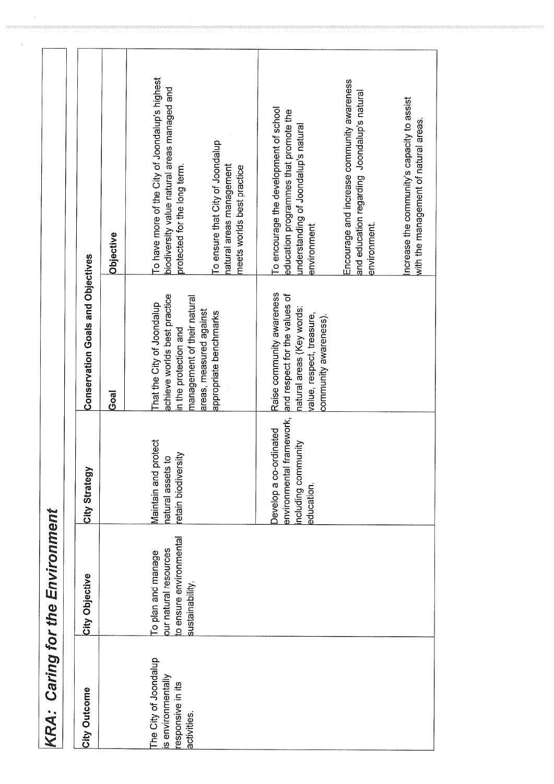|                                                                                 | <b>KRA: Caring for the Environment</b>                                                    |                                                                                              |                                                                                                                                               |                                                                                                                                        |
|---------------------------------------------------------------------------------|-------------------------------------------------------------------------------------------|----------------------------------------------------------------------------------------------|-----------------------------------------------------------------------------------------------------------------------------------------------|----------------------------------------------------------------------------------------------------------------------------------------|
| City Outcome                                                                    | City Objective                                                                            | City Strategy                                                                                | <b>Conservation Goals and Objectives</b>                                                                                                      |                                                                                                                                        |
|                                                                                 |                                                                                           |                                                                                              | Goal                                                                                                                                          | Objective                                                                                                                              |
| The City of Joondalup<br>is environmentally<br>responsive in its<br>activities. | to ensure environmental<br>our natural resources<br>To plan and manage<br>sustainability. | protect<br>etain biodiversity<br>natural assets to<br>Viaintain and                          | achieve worlds best practice<br>management of their natural<br>That the City of Joondalup<br>in the protection and                            | To have more of the City of Joondalup's highest<br>biodiversity value natural areas managed and<br>protected for the long term.        |
|                                                                                 |                                                                                           |                                                                                              | areas, measured against<br>appropriate benchmarks                                                                                             | To ensure that City of Joondalup<br>natural areas management<br>meets worlds best practice                                             |
|                                                                                 |                                                                                           | I framework,<br>Develop a co-ordinated<br>including community<br>environmental<br>education. | Raise community awareness<br>and respect for the values of<br>natural areas (Key words:<br>value, respect, treasure,<br>community awareness). | To encourage the development of school<br>education programmes that promote the<br>understanding of Joondalup's natural<br>environment |
|                                                                                 |                                                                                           |                                                                                              |                                                                                                                                               | Encourage and increase community awareness<br>and education regarding Joondalup's natural<br>environment.                              |
|                                                                                 |                                                                                           |                                                                                              |                                                                                                                                               | Increase the community's capacity to assist<br>with the management of natural areas.                                                   |

 $\bar{u}$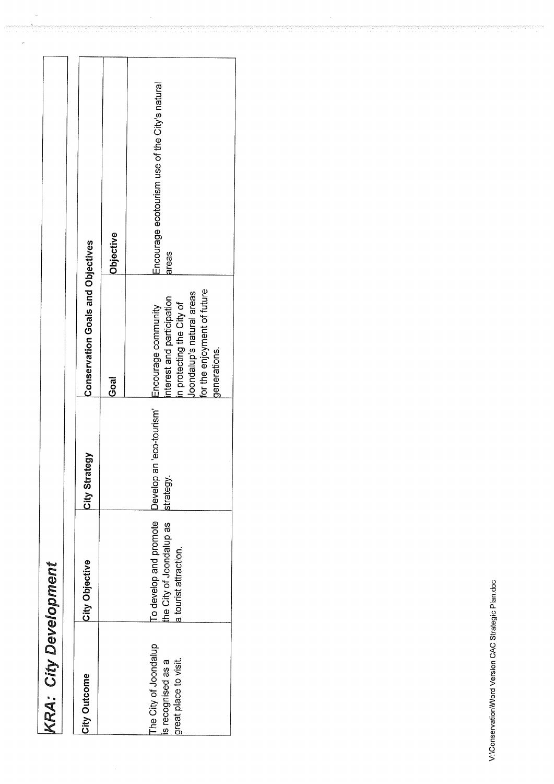| ש מ                      |
|--------------------------|
|                          |
|                          |
| $\vdots$                 |
|                          |
|                          |
|                          |
|                          |
|                          |
|                          |
|                          |
| f                        |
|                          |
| ŋ                        |
| ì                        |
| $\overline{\phantom{a}}$ |
|                          |
| t,                       |
| 气                        |
|                          |
|                          |
|                          |

 $\label{eq:1} \frac{d}{dt}$ 

| City Outcome                                                         | City Objective                                                             | City Strategy                           | <b>Conservation Goals and Objectives</b>                                                                                                                 |                                                         |
|----------------------------------------------------------------------|----------------------------------------------------------------------------|-----------------------------------------|----------------------------------------------------------------------------------------------------------------------------------------------------------|---------------------------------------------------------|
|                                                                      |                                                                            |                                         | $\overline{6}$ oal                                                                                                                                       | Objective                                               |
| The City of Joondalup<br>is recognised as a<br>great place to visit. | To develop and promote<br>he City of Joondalup as<br>a tourist attraction. | eco-tourism'<br>Develop an<br>strategy. | for the enjoyment of future<br>Joondalup's natural areas<br>nterest and participation<br>n protecting the City of<br>Encourage community<br>generations. | Encourage ecotourism use of the City's natural<br>areas |